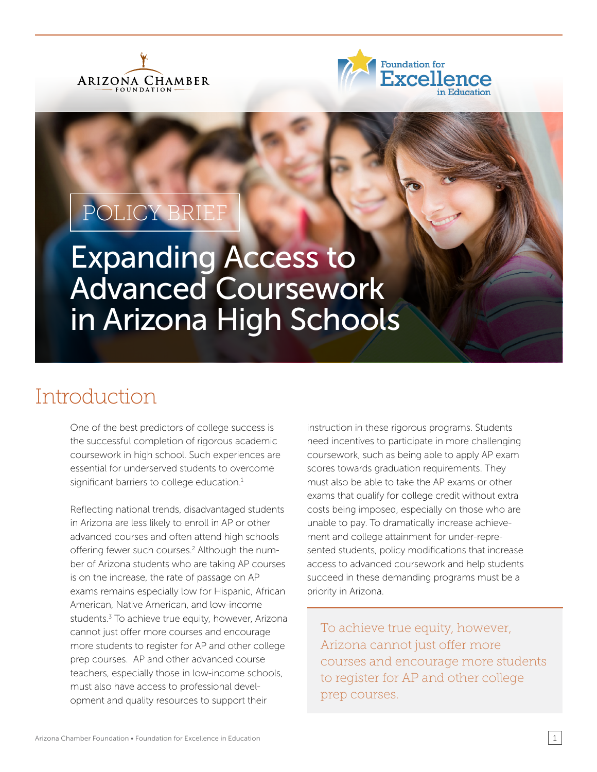



# POLICY BRIEF

Expanding Access to Advanced Coursework in Arizona High Schools

## Introduction

One of the best predictors of college success is the successful completion of rigorous academic coursework in high school. Such experiences are essential for underserved students to overcome significant barriers to college education.<sup>1</sup>

Reflecting national trends, disadvantaged students in Arizona are less likely to enroll in AP or other advanced courses and often attend high schools offering fewer such courses.<sup>2</sup> Although the number of Arizona students who are taking AP courses is on the increase, the rate of passage on AP exams remains especially low for Hispanic, African American, Native American, and low-income students.<sup>3</sup> To achieve true equity, however, Arizona cannot just offer more courses and encourage more students to register for AP and other college prep courses. AP and other advanced course teachers, especially those in low-income schools, must also have access to professional development and quality resources to support their

instruction in these rigorous programs. Students need incentives to participate in more challenging coursework, such as being able to apply AP exam scores towards graduation requirements. They must also be able to take the AP exams or other exams that qualify for college credit without extra costs being imposed, especially on those who are unable to pay. To dramatically increase achievement and college attainment for under-represented students, policy modifications that increase access to advanced coursework and help students succeed in these demanding programs must be a priority in Arizona.

To achieve true equity, however, Arizona cannot just offer more courses and encourage more students to register for AP and other college prep courses.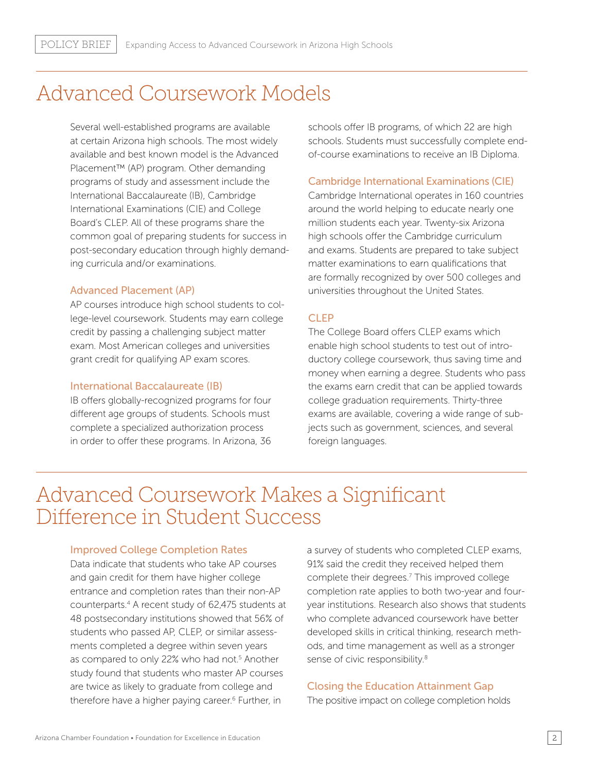### Advanced Coursework Models

Several well-established programs are available at certain Arizona high schools. The most widely available and best known model is the Advanced Placement™ (AP) program. Other demanding programs of study and assessment include the International Baccalaureate (IB), Cambridge International Examinations (CIE) and College Board's CLEP. All of these programs share the common goal of preparing students for success in post-secondary education through highly demanding curricula and/or examinations.

#### Advanced Placement (AP)

AP courses introduce high school students to college-level coursework. Students may earn college credit by passing a challenging subject matter exam. Most American colleges and universities grant credit for qualifying AP exam scores.

#### International Baccalaureate (IB)

IB offers globally-recognized programs for four different age groups of students. Schools must complete a specialized authorization process in order to offer these programs. In Arizona, 36 schools offer IB programs, of which 22 are high schools. Students must successfully complete endof-course examinations to receive an IB Diploma.

#### Cambridge International Examinations (CIE)

Cambridge International operates in 160 countries around the world helping to educate nearly one million students each year. Twenty-six Arizona high schools offer the Cambridge curriculum and exams. Students are prepared to take subject matter examinations to earn qualifications that are formally recognized by over 500 colleges and universities throughout the United States.

### **CLEP**

The College Board offers CLEP exams which enable high school students to test out of introductory college coursework, thus saving time and money when earning a degree. Students who pass the exams earn credit that can be applied towards college graduation requirements. Thirty-three exams are available, covering a wide range of subjects such as government, sciences, and several foreign languages.

### Advanced Coursework Makes a Significant Difference in Student Success

#### Improved College Completion Rates

Data indicate that students who take AP courses and gain credit for them have higher college entrance and completion rates than their non-AP counterparts.4 A recent study of 62,475 students at 48 postsecondary institutions showed that 56% of students who passed AP, CLEP, or similar assessments completed a degree within seven years as compared to only 22% who had not.<sup>5</sup> Another study found that students who master AP courses are twice as likely to graduate from college and therefore have a higher paying career.<sup>6</sup> Further, in

a survey of students who completed CLEP exams, 91% said the credit they received helped them complete their degrees.7 This improved college completion rate applies to both two-year and fouryear institutions. Research also shows that students who complete advanced coursework have better developed skills in critical thinking, research methods, and time management as well as a stronger sense of civic responsibility.<sup>8</sup>

### Closing the Education Attainment Gap

The positive impact on college completion holds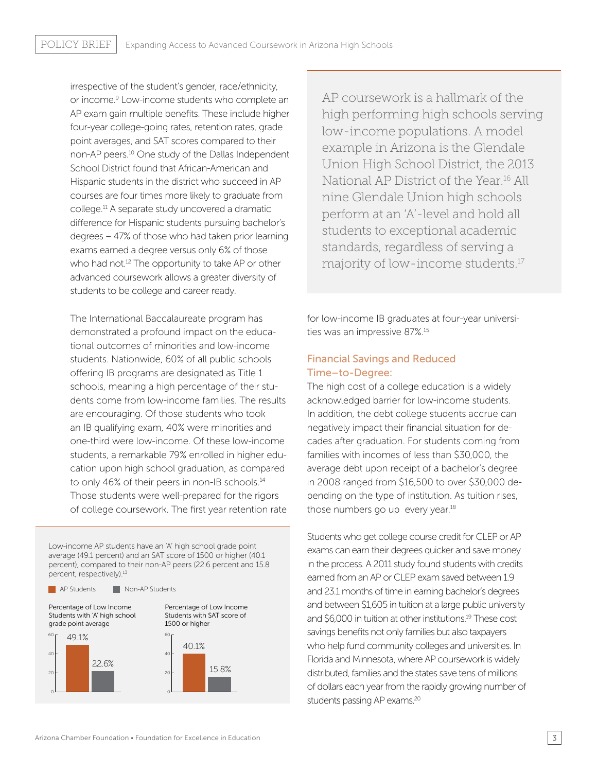irrespective of the student's gender, race/ethnicity, or income.<sup>9</sup> Low-income students who complete an AP exam gain multiple benefits. These include higher four-year college-going rates, retention rates, grade point averages, and SAT scores compared to their non-AP peers.10 One study of the Dallas Independent School District found that African-American and Hispanic students in the district who succeed in AP courses are four times more likely to graduate from college.11 A separate study uncovered a dramatic difference for Hispanic students pursuing bachelor's degrees – 47% of those who had taken prior learning exams earned a degree versus only 6% of those who had not.<sup>12</sup> The opportunity to take AP or other advanced coursework allows a greater diversity of students to be college and career ready.

The International Baccalaureate program has demonstrated a profound impact on the educational outcomes of minorities and low-income students. Nationwide, 60% of all public schools offering IB programs are designated as Title 1 schools, meaning a high percentage of their students come from low-income families. The results are encouraging. Of those students who took an IB qualifying exam, 40% were minorities and one-third were low-income. Of these low-income students, a remarkable 79% enrolled in higher education upon high school graduation, as compared to only 46% of their peers in non-IB schools.<sup>14</sup> Those students were well-prepared for the rigors of college coursework. The first year retention rate

Low-income AP students have an 'A' high school grade point average (49.1 percent) and an SAT score of 1500 or higher (40.1 percent), compared to their non-AP peers (22.6 percent and 15.8 percent, respectively).<sup>13</sup>





AP coursework is a hallmark of the high performing high schools serving low-income populations. A model example in Arizona is the Glendale Union High School District, the 2013 National AP District of the Year.16 All nine Glendale Union high schools perform at an 'A'-level and hold all students to exceptional academic standards, regardless of serving a majority of low-income students.17

for low-income IB graduates at four-year universities was an impressive 87%.15

### Financial Savings and Reduced Time–to-Degree:

The high cost of a college education is a widely acknowledged barrier for low-income students. In addition, the debt college students accrue can negatively impact their financial situation for decades after graduation. For students coming from families with incomes of less than \$30,000, the average debt upon receipt of a bachelor's degree in 2008 ranged from \$16,500 to over \$30,000 depending on the type of institution. As tuition rises, those numbers go up every year.<sup>18</sup>

Students who get college course credit for CLEP or AP exams can earn their degrees quicker and save money in the process. A 2011 study found students with credits earned from an AP or CLEP exam saved between 1.9 and 23.1 months of time in earning bachelor's degrees and between \$1,605 in tuition at a large public university and \$6,000 in tuition at other institutions.19 These cost savings benefits not only families but also taxpayers who help fund community colleges and universities. In Florida and Minnesota, where AP coursework is widely distributed, families and the states save tens of millions of dollars each year from the rapidly growing number of students passing AP exams.20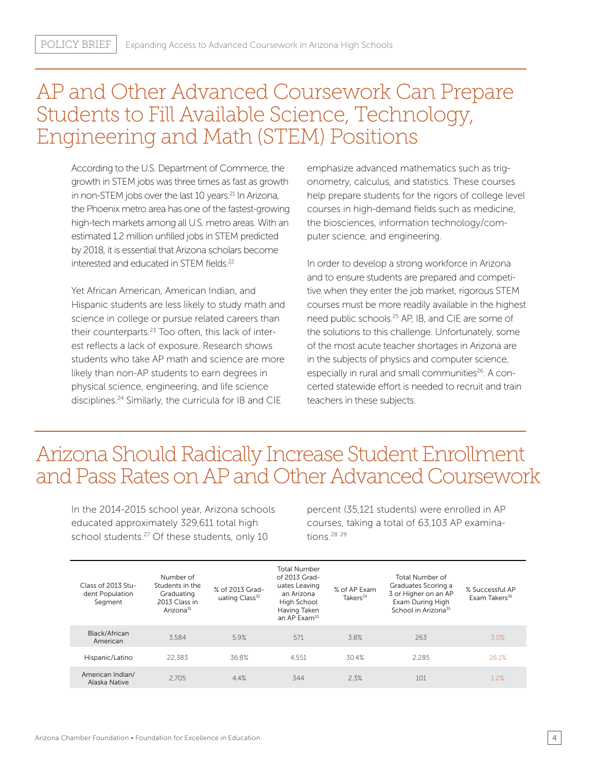### AP and Other Advanced Coursework Can Prepare Students to Fill Available Science, Technology, Engineering and Math (STEM) Positions

According to the U.S. Department of Commerce, the growth in STEM jobs was three times as fast as growth in non-STEM jobs over the last 10 years.<sup>21</sup> In Arizona, the Phoenix metro area has one of the fastest-growing high-tech markets among all U.S. metro areas. With an estimated 1.2 million unfilled jobs in STEM predicted by 2018, it is essential that Arizona scholars become interested and educated in STEM fields.<sup>22</sup>

Yet African American, American Indian, and Hispanic students are less likely to study math and science in college or pursue related careers than their counterparts.<sup>23</sup> Too often, this lack of interest reflects a lack of exposure. Research shows students who take AP math and science are more likely than non-AP students to earn degrees in physical science, engineering, and life science disciplines.<sup>24</sup> Similarly, the curricula for IB and CIE

emphasize advanced mathematics such as trigonometry, calculus, and statistics. These courses help prepare students for the rigors of college level courses in high-demand fields such as medicine, the biosciences, information technology/computer science, and engineering.

In order to develop a strong workforce in Arizona and to ensure students are prepared and competitive when they enter the job market, rigorous STEM courses must be more readily available in the highest need public schools.25 AP, IB, and CIE are some of the solutions to this challenge. Unfortunately, some of the most acute teacher shortages in Arizona are in the subjects of physics and computer science, especially in rural and small communities<sup>26</sup>. A concerted statewide effort is needed to recruit and train teachers in these subjects.

### Arizona Should Radically Increase Student Enrollment and Pass Rates on AP and Other Advanced Coursework

In the 2014-2015 school year, Arizona schools educated approximately 329,611 total high school students.<sup>27</sup> Of these students, only 10

percent (35,121 students) were enrolled in AP courses, taking a total of 63,103 AP examinations.28 <sup>29</sup>

| Class of 2013 Stu-<br>dent Population<br>Segment | Number of<br>Students in the<br>Graduating<br>2013 Class in<br>Arizona <sup>31</sup> | % of 2013 Grad-<br>uating Class <sup>32</sup> | <b>Total Number</b><br>of 2013 Grad-<br>uates Leaving<br>an Arizona<br>High School<br>Having Taken<br>an AP Exam <sup>33</sup> | % of AP Exam<br>Takers <sup>34</sup> | Total Number of<br>Graduates Scoring a<br>3 or Higher on an AP<br>Exam During High<br>School in Arizona <sup>35</sup> | % Successful AP<br>Exam Takers <sup>36</sup> |
|--------------------------------------------------|--------------------------------------------------------------------------------------|-----------------------------------------------|--------------------------------------------------------------------------------------------------------------------------------|--------------------------------------|-----------------------------------------------------------------------------------------------------------------------|----------------------------------------------|
| Black/African<br>American                        | 3.584                                                                                | 5.9%                                          | 571                                                                                                                            | 3.8%                                 | 263                                                                                                                   | 3.0%                                         |
| Hispanic/Latino                                  | 22.383                                                                               | 36.8%                                         | 4.551                                                                                                                          | 30.4%                                | 2.285                                                                                                                 | 26.1%                                        |
| American Indian/<br>Alaska Native                | 2.705                                                                                | 4.4%                                          | 344                                                                                                                            | 2.3%                                 | 101                                                                                                                   | 1.2%                                         |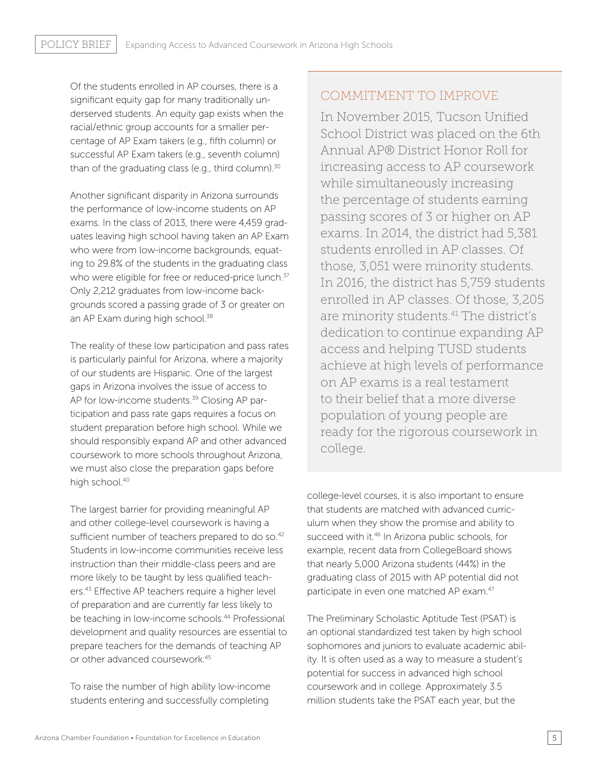Of the students enrolled in AP courses, there is a significant equity gap for many traditionally underserved students. An equity gap exists when the racial/ethnic group accounts for a smaller percentage of AP Exam takers (e.g., fifth column) or successful AP Exam takers (e.g., seventh column) than of the graduating class (e.g., third column). $30$ 

Another significant disparity in Arizona surrounds the performance of low-income students on AP exams. In the class of 2013, there were 4,459 graduates leaving high school having taken an AP Exam who were from low-income backgrounds, equating to 29.8% of the students in the graduating class who were eligible for free or reduced-price lunch.<sup>37</sup> Only 2,212 graduates from low-income backgrounds scored a passing grade of 3 or greater on an AP Exam during high school.<sup>38</sup>

The reality of these low participation and pass rates is particularly painful for Arizona, where a majority of our students are Hispanic. One of the largest gaps in Arizona involves the issue of access to AP for low-income students.<sup>39</sup> Closing AP participation and pass rate gaps requires a focus on student preparation before high school. While we should responsibly expand AP and other advanced coursework to more schools throughout Arizona, we must also close the preparation gaps before high school.<sup>40</sup>

The largest barrier for providing meaningful AP and other college-level coursework is having a sufficient number of teachers prepared to do so.<sup>42</sup> Students in low-income communities receive less instruction than their middle-class peers and are more likely to be taught by less qualified teachers.43 Effective AP teachers require a higher level of preparation and are currently far less likely to be teaching in low-income schools.<sup>44</sup> Professional development and quality resources are essential to prepare teachers for the demands of teaching AP or other advanced coursework.45

To raise the number of high ability low-income students entering and successfully completing

### COMMITMENT TO IMPROVE

In November 2015, Tucson Unified School District was placed on the 6th Annual AP® District Honor Roll for increasing access to AP coursework while simultaneously increasing the percentage of students earning passing scores of 3 or higher on AP exams. In 2014, the district had 5,381 students enrolled in AP classes. Of those, 3,051 were minority students. In 2016, the district has 5,759 students enrolled in AP classes. Of those, 3,205 are minority students.41 The district's dedication to continue expanding AP access and helping TUSD students achieve at high levels of performance on AP exams is a real testament to their belief that a more diverse population of young people are ready for the rigorous coursework in college.

college-level courses, it is also important to ensure that students are matched with advanced curriculum when they show the promise and ability to succeed with it.<sup>46</sup> In Arizona public schools, for example, recent data from CollegeBoard shows that nearly 5,000 Arizona students (44%) in the graduating class of 2015 with AP potential did not participate in even one matched AP exam.<sup>47</sup>

The Preliminary Scholastic Aptitude Test (PSAT) is an optional standardized test taken by high school sophomores and juniors to evaluate academic ability. It is often used as a way to measure a student's potential for success in advanced high school coursework and in college. Approximately 3.5 million students take the PSAT each year, but the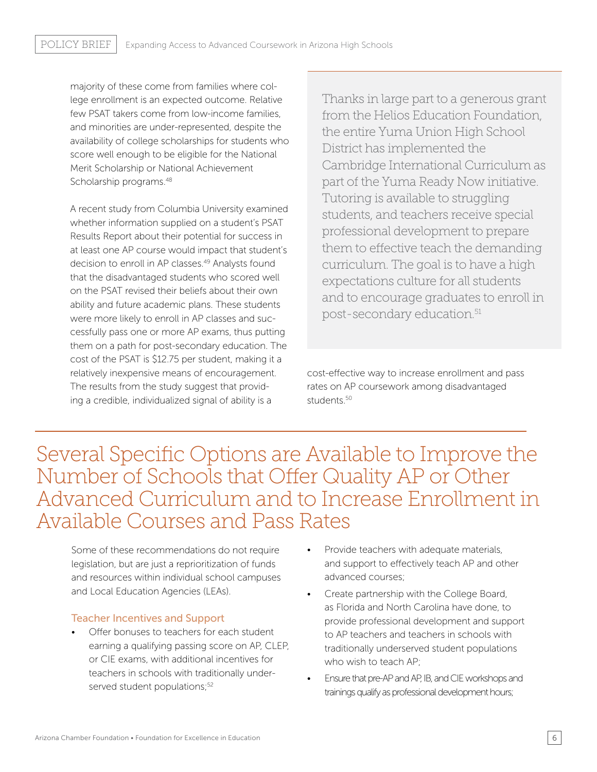majority of these come from families where college enrollment is an expected outcome. Relative few PSAT takers come from low-income families, and minorities are under-represented, despite the availability of college scholarships for students who score well enough to be eligible for the National Merit Scholarship or National Achievement Scholarship programs.<sup>48</sup>

A recent study from Columbia University examined whether information supplied on a student's PSAT Results Report about their potential for success in at least one AP course would impact that student's decision to enroll in AP classes.<sup>49</sup> Analysts found that the disadvantaged students who scored well on the PSAT revised their beliefs about their own ability and future academic plans. These students were more likely to enroll in AP classes and successfully pass one or more AP exams, thus putting them on a path for post-secondary education. The cost of the PSAT is \$12.75 per student, making it a relatively inexpensive means of encouragement. The results from the study suggest that providing a credible, individualized signal of ability is a

Thanks in large part to a generous grant from the Helios Education Foundation, the entire Yuma Union High School District has implemented the Cambridge International Curriculum as part of the Yuma Ready Now initiative. Tutoring is available to struggling students, and teachers receive special professional development to prepare them to effective teach the demanding curriculum. The goal is to have a high expectations culture for all students and to encourage graduates to enroll in post-secondary education.<sup>51</sup>

cost-effective way to increase enrollment and pass rates on AP coursework among disadvantaged students.<sup>50</sup>

Several Specific Options are Available to Improve the Number of Schools that Offer Quality AP or Other Advanced Curriculum and to Increase Enrollment in Available Courses and Pass Rates

Some of these recommendations do not require legislation, but are just a reprioritization of funds and resources within individual school campuses and Local Education Agencies (LEAs).

### Teacher Incentives and Support

- Offer bonuses to teachers for each student earning a qualifying passing score on AP, CLEP, or CIE exams, with additional incentives for teachers in schools with traditionally underserved student populations;<sup>52</sup>
- Provide teachers with adequate materials, and support to effectively teach AP and other advanced courses;
- Create partnership with the College Board, as Florida and North Carolina have done, to provide professional development and support to AP teachers and teachers in schools with traditionally underserved student populations who wish to teach AP;
- Ensure that pre-AP and AP, IB, and CIE workshops and trainings qualify as professional development hours;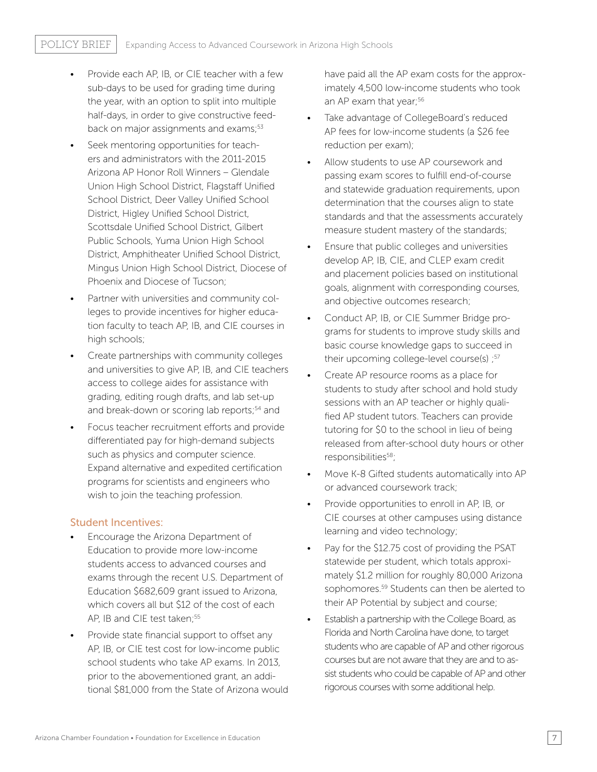- Provide each AP, IB, or CIE teacher with a few sub-days to be used for grading time during the year, with an option to split into multiple half-days, in order to give constructive feedback on major assignments and exams;<sup>53</sup>
- Seek mentoring opportunities for teachers and administrators with the 2011-2015 Arizona AP Honor Roll Winners – Glendale Union High School District, Flagstaff Unified School District, Deer Valley Unified School District, Higley Unified School District, Scottsdale Unified School District, Gilbert Public Schools, Yuma Union High School District, Amphitheater Unified School District, Mingus Union High School District, Diocese of Phoenix and Diocese of Tucson;
- Partner with universities and community colleges to provide incentives for higher education faculty to teach AP, IB, and CIE courses in high schools;
- Create partnerships with community colleges and universities to give AP, IB, and CIE teachers access to college aides for assistance with grading, editing rough drafts, and lab set-up and break-down or scoring lab reports;<sup>54</sup> and
- Focus teacher recruitment efforts and provide differentiated pay for high-demand subjects such as physics and computer science. Expand alternative and expedited certification programs for scientists and engineers who wish to join the teaching profession.

#### Student Incentives:

- Encourage the Arizona Department of Education to provide more low-income students access to advanced courses and exams through the recent U.S. Department of Education \$682,609 grant issued to Arizona, which covers all but \$12 of the cost of each AP, IB and CIE test taken;<sup>55</sup>
- Provide state financial support to offset any AP, IB, or CIE test cost for low-income public school students who take AP exams. In 2013, prior to the abovementioned grant, an additional \$81,000 from the State of Arizona would

have paid all the AP exam costs for the approximately 4,500 low-income students who took an AP exam that year;<sup>56</sup>

- Take advantage of CollegeBoard's reduced AP fees for low-income students (a \$26 fee reduction per exam);
- Allow students to use AP coursework and passing exam scores to fulfill end-of-course and statewide graduation requirements, upon determination that the courses align to state standards and that the assessments accurately measure student mastery of the standards;
- Ensure that public colleges and universities develop AP, IB, CIE, and CLEP exam credit and placement policies based on institutional goals, alignment with corresponding courses, and objective outcomes research;
- Conduct AP, IB, or CIE Summer Bridge programs for students to improve study skills and basic course knowledge gaps to succeed in their upcoming college-level course(s) ;<sup>57</sup>
- Create AP resource rooms as a place for students to study after school and hold study sessions with an AP teacher or highly qualified AP student tutors. Teachers can provide tutoring for \$0 to the school in lieu of being released from after-school duty hours or other responsibilities<sup>58</sup>;
- Move K-8 Gifted students automatically into AP or advanced coursework track;
- Provide opportunities to enroll in AP, IB, or CIE courses at other campuses using distance learning and video technology;
- Pay for the \$12.75 cost of providing the PSAT statewide per student, which totals approximately \$1.2 million for roughly 80,000 Arizona sophomores.<sup>59</sup> Students can then be alerted to their AP Potential by subject and course;
- Establish a partnership with the College Board, as Florida and North Carolina have done, to target students who are capable of AP and other rigorous courses but are not aware that they are and to assist students who could be capable of AP and other rigorous courses with some additional help.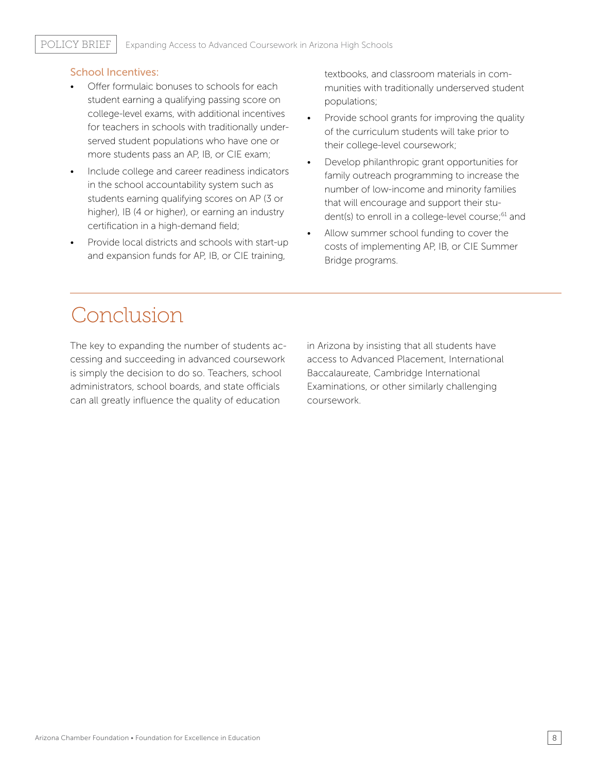### School Incentives:

- Offer formulaic bonuses to schools for each student earning a qualifying passing score on college-level exams, with additional incentives for teachers in schools with traditionally underserved student populations who have one or more students pass an AP, IB, or CIE exam;
- Include college and career readiness indicators in the school accountability system such as students earning qualifying scores on AP (3 or higher), IB (4 or higher), or earning an industry certification in a high-demand field;
- Provide local districts and schools with start-up and expansion funds for AP, IB, or CIE training,

textbooks, and classroom materials in communities with traditionally underserved student populations;

- Provide school grants for improving the quality of the curriculum students will take prior to their college-level coursework;
- Develop philanthropic grant opportunities for family outreach programming to increase the number of low-income and minority families that will encourage and support their student(s) to enroll in a college-level course;<sup>61</sup> and
- Allow summer school funding to cover the costs of implementing AP, IB, or CIE Summer Bridge programs.

# Conclusion

The key to expanding the number of students accessing and succeeding in advanced coursework is simply the decision to do so. Teachers, school administrators, school boards, and state officials can all greatly influence the quality of education

in Arizona by insisting that all students have access to Advanced Placement, International Baccalaureate, Cambridge International Examinations, or other similarly challenging coursework.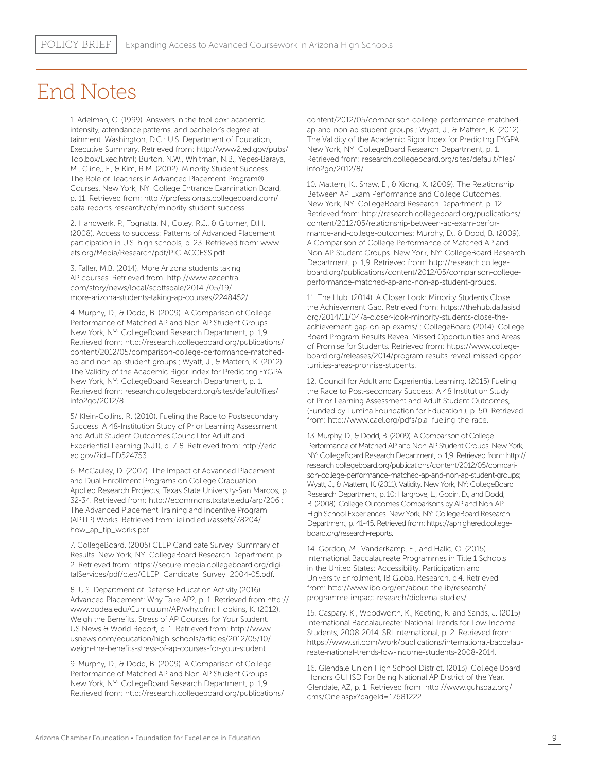### End Notes

1. Adelman, C. (1999). Answers in the tool box: academic intensity, attendance patterns, and bachelor's degree attainment. Washington, D.C.: U.S. Department of Education, Executive Summary. Retrieved from: http://www2.ed.gov/pubs/ Toolbox/Exec.html; Burton, N.W., Whitman, N.B., Yepes-Baraya, M., Cline,, F., & Kim, R.M. (2002). Minority Student Success: The Role of Teachers in Advanced Placement Program® Courses. New York, NY: College Entrance Examination Board, p. 11. Retrieved from: http://professionals.collegeboard.com/ data-reports-research/cb/minority-student-success.

2. Handwerk, P., Tognatta, N., Coley, R.J., & Gitomer, D.H. (2008). Access to success: Patterns of Advanced Placement participation in U.S. high schools, p. 23. Retrieved from: www. ets.org/Media/Research/pdf/PIC-ACCESS.pdf.

3. Faller, M.B. (2014). More Arizona students taking AP courses. Retrieved from: http://www.azcentral. com/story/news/local/scottsdale/2014-/05/19/ more-arizona-students-taking-ap-courses/2248452/.

4. Murphy, D., & Dodd, B. (2009). A Comparison of College Performance of Matched AP and Non-AP Student Groups. New York, NY: CollegeBoard Research Department, p. 1,9. Retrieved from: http://research.collegeboard.org/publications/ content/2012/05/comparison-college-performance-matchedap-and-non-ap-student-groups.; Wyatt, J., & Mattern, K. (2012). The Validity of the Academic Rigor Index for Predicitng FYGPA. New York, NY: CollegeBoard Research Department, p. 1. Retrieved from: research.collegeboard.org/sites/default/files/ info2go/2012/8

5/ Klein-Collins, R. (2010). Fueling the Race to Postsecondary Success: A 48-Institution Study of Prior Learning Assessment and Adult Student Outcomes.Council for Adult and Experiential Learning (NJ1), p. 7-8. Retrieved from: http://eric. ed.gov/?id=ED524753.

6. McCauley, D. (2007). The Impact of Advanced Placement and Dual Enrollment Programs on College Graduation Applied Research Projects, Texas State University-San Marcos, p. 32-34. Retrieved from: http://ecommons.txstate.edu/arp/206.; The Advanced Placement Training and Incentive Program (APTIP) Works. Retrieved from: iei.nd.edu/assets/78204/ how\_ap\_tip\_works.pdf.

7. CollegeBoard. (2005) CLEP Candidate Survey: Summary of Results. New York, NY: CollegeBoard Research Department, p. 2. Retrieved from: https://secure-media.collegeboard.org/digitalServices/pdf/clep/CLEP\_Candidate\_Survey\_2004-05.pdf.

8. U.S. Department of Defense Education Activity (2016). Advanced Placement: Why Take AP?, p. 1. Retrieved from http:// www.dodea.edu/Curriculum/AP/why.cfm; Hopkins, K. (2012). Weigh the Benefits, Stress of AP Courses for Your Student. US News & World Report, p. 1. Retrieved from: http://www. usnews.com/education/high-schools/articles/2012/05/10/ weigh-the-benefits-stress-of-ap-courses-for-your-student.

9. Murphy, D., & Dodd, B. (2009). A Comparison of College Performance of Matched AP and Non-AP Student Groups. New York, NY: CollegeBoard Research Department, p. 1,9. Retrieved from: http://research.collegeboard.org/publications/ content/2012/05/comparison-college-performance-matchedap-and-non-ap-student-groups.; Wyatt, J., & Mattern, K. (2012). The Validity of the Academic Rigor Index for Predicitng FYGPA. New York, NY: CollegeBoard Research Department, p. 1. Retrieved from: research.collegeboard.org/sites/default/files/ info2go/2012/8/…

10. Mattern, K., Shaw, E., & Xiong, X. (2009). The Relationship Between AP Exam Performance and College Outcomes. New York, NY: CollegeBoard Research Department, p. 12. Retrieved from: http://research.collegeboard.org/publications/ content/2012/05/relationship-between-ap-exam-performance-and-college-outcomes; Murphy, D., & Dodd, B. (2009). A Comparison of College Performance of Matched AP and Non-AP Student Groups. New York, NY: CollegeBoard Research Department, p. 1,9. Retrieved from: http://research.collegeboard.org/publications/content/2012/05/comparison-collegeperformance-matched-ap-and-non-ap-student-groups.

11. The Hub. (2014). A Closer Look: Minority Students Close the Achievement Gap. Retrieved from: https://thehub.dallasisd. org/2014/11/04/a-closer-look-minority-students-close-theachievement-gap-on-ap-exams/.; CollegeBoard (2014). College Board Program Results Reveal Missed Opportunities and Areas of Promise for Students. Retrieved from: https://www.collegeboard.org/releases/2014/program-results-reveal-missed-opportunities-areas-promise-students.

12. Council for Adult and Experiential Learning. (2015) Fueling the Race to Post-secondary Success: A 48 Institution Study of Prior Learning Assessment and Adult Student Outcomes, (Funded by Lumina Foundation for Education.), p. 50. Retrieved from: http://www.cael.org/pdfs/pla\_fueling-the-race.

13. Murphy, D., & Dodd, B. (2009). A Comparison of College Performance of Matched AP and Non-AP Student Groups. New York, NY: CollegeBoard Research Department, p. 1,9. Retrieved from: http:// research.collegeboard.org/publications/content/2012/05/comparison-college-performance-matched-ap-and-non-ap-student-groups; Wyatt, J., & Mattern, K. (2011). Validity. New York, NY: CollegeBoard Research Department, p. 10; Hargrove, L., Godin, D., and Dodd, B. (2008). College Outcomes Comparisons by AP and Non-AP High School Experiences. New York, NY: CollegeBoard Research Department, p. 41-45. Retrieved from: https://aphighered.collegeboard.org/research-reports.

14. Gordon, M., VanderKamp, E., and Halic, O. (2015) International Baccalaureate Programmes in Title 1 Schools in the United States: Accessibility, Participation and University Enrollment, IB Global Research, p.4. Retrieved from: http://www.ibo.org/en/about-the-ib/research/ programme-impact-research/diploma-studies/.

15. Caspary, K., Woodworth, K., Keeting, K. and Sands, J. (2015) International Baccalaureate: National Trends for Low-Income Students, 2008-2014, SRI International, p. 2. Retrieved from: https://www.sri.com/work/publications/international-baccalaureate-national-trends-low-income-students-2008-2014.

16. Glendale Union High School District. (2013). College Board Honors GUHSD For Being National AP District of the Year. Glendale, AZ, p. 1. Retrieved from: http://www.guhsdaz.org/ cms/One.aspx?pageId=17681222.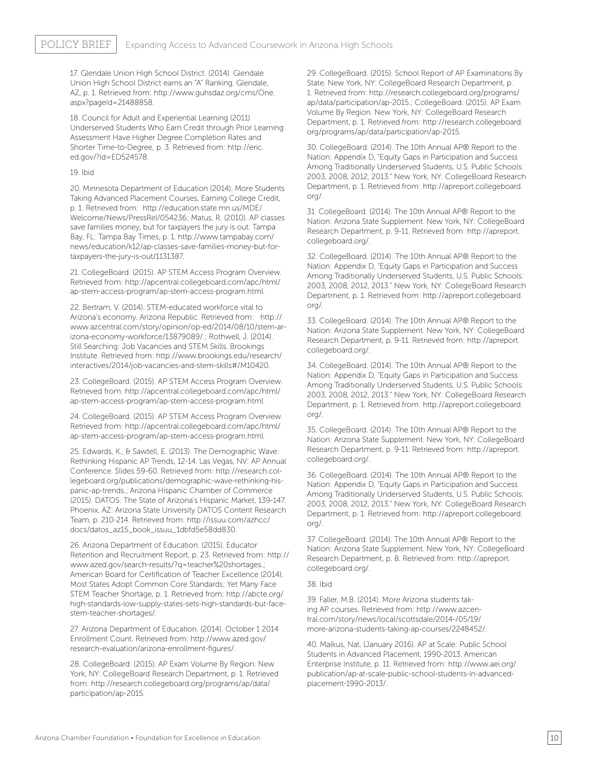17. Glendale Union High School District. (2014). Glendale Union High School District earns an "A" Ranking. Glendale, AZ, p. 1. Retrieved from: http://www.guhsdaz.org/cms/One. aspx?pageId=21488858.

18. Council for Adult and Experiential Learning (2011) Underserved Students Who Earn Credit through Prior Learning Assessment Have Higher Degree Completion Rates and Shorter Time-to-Degree, p. 3. Retrieved from: http://eric. ed.gov/?id=ED524578.

#### 19. Ibid

20. Minnesota Department of Education (2014). More Students Taking Advanced Placement Courses, Earning College Credit, p. 1. Retrieved from: http://education.state.mn.us/MDE/ Welcome/News/PressRel/054236; Matus, R. (2010). AP classes save families money, but for taxpayers the jury is out. Tampa Bay, FL: Tampa Bay Times, p. 1. http://www.tampabay.com/ news/education/k12/ap-classes-save-families-money-but-fortaxpayers-the-jury-is-out/1131387.

21. CollegeBoard. (2015). AP STEM Access Program Overview. Retrieved from: http://apcentral.collegeboard.com/apc/html/ ap-stem-access-program/ap-stem-access-program.html.

22. Bertram, V. (2014). STEM-educated workforce vital to Arizona's economy. Arizona Republic. Retrieved from: http:// www.azcentral.com/story/opinion/op-ed/2014/08/10/stem-arizona-economy-workforce/13879089/.; Rothwell, J. (2014). Still Searching: Job Vacancies and STEM Skills. Brookings Institute. Retrieved from: http://www.brookings.edu/research/ interactives/2014/job-vacancies-and-stem-skills#/M10420.

23. CollegeBoard. (2015). AP STEM Access Program Overview. Retrieved from: http://apcentral.collegeboard.com/apc/html/ ap-stem-access-program/ap-stem-access-program.html.

24. CollegeBoard. (2015). AP STEM Access Program Overview. Retrieved from: http://apcentral.collegeboard.com/apc/html/ ap-stem-access-program/ap-stem-access-program.html.

25. Edwards, K., & Sawtell, E. (2013). The Demographic Wave: Rethinking Hispanic AP Trends, 12-14. Las Vegas, NV: AP Annual Conference. Slides 59-60. Retrieved from: http://research.collegeboard.org/publications/demographic-wave-rethinking-hispanic-ap-trends.; Arizona Hispanic Chamber of Commerce (2015). DATOS: The State of Arizona's Hispanic Market, 139-147. Phoenix, AZ: Arizona State University DATOS Content Research Team, p. 210-214. Retrieved from: http://issuu.com/azhcc/ docs/datos\_az15\_book\_issuu\_1dbfd5e58dd830.

26. Arizona Department of Education. (2015). Educator Retention and Recruitment Report, p. 23. Retrieved from: http:// www.azed.gov/search-results/?q=teacher%20shortages.; American Board for Certification of Teacher Excellence (2014). Most States Adopt Common Core Standards; Yet Many Face STEM Teacher Shortage, p. 1. Retrieved from: http://abcte.org/ high-standards-low-supply-states-sets-high-standards-but-facestem-teacher-shortages/.

27. Arizona Department of Education. (2014). October 1 2014 Enrollment Count. Retrieved from: http://www.azed.gov/ research-evaluation/arizona-enrollment-figures/.

28. CollegeBoard. (2015). AP Exam Volume By Region. New York, NY: CollegeBoard Research Department, p. 1. Retrieved from: http://research.collegeboard.org/programs/ap/data/ participation/ap-2015.

29. CollegeBoard. (2015). School Report of AP Examinations By State. New York, NY: CollegeBoard Research Department, p. 1. Retrieved from: http://research.collegeboard.org/programs/ ap/data/participation/ap-2015.; CollegeBoard. (2015). AP Exam Volume By Region. New York, NY: CollegeBoard Research Department, p. 1. Retrieved from: http://research.collegeboard. org/programs/ap/data/participation/ap-2015.

30. CollegeBoard. (2014). The 10th Annual AP® Report to the Nation: Appendix D, "Equity Gaps in Participation and Success Among Traditionally Underserved Students, U.S. Public Schools: 2003, 2008, 2012, 2013." New York, NY: CollegeBoard Research Department, p. 1. Retrieved from: http://apreport.collegeboard. org/.

31. CollegeBoard. (2014). The 10th Annual AP® Report to the Nation: Arizona State Supplement. New York, NY: CollegeBoard Research Department, p. 9-11. Retrieved from: http://apreport. collegeboard.org/.

32. CollegeBoard. (2014). The 10th Annual AP® Report to the Nation: Appendix D, "Equity Gaps in Participation and Success Among Traditionally Underserved Students, U.S. Public Schools: 2003, 2008, 2012, 2013." New York, NY: CollegeBoard Research Department, p. 1. Retrieved from: http://apreport.collegeboard. org/.

33. CollegeBoard. (2014). The 10th Annual AP® Report to the Nation: Arizona State Supplement. New York, NY: CollegeBoard Research Department, p. 9-11. Retrieved from: http://apreport. collegeboard.org/.

34. CollegeBoard. (2014). The 10th Annual AP® Report to the Nation: Appendix D, "Equity Gaps in Participation and Success Among Traditionally Underserved Students, U.S. Public Schools: 2003, 2008, 2012, 2013." New York, NY: CollegeBoard Research Department, p. 1. Retrieved from: http://apreport.collegeboard. org/.

35. CollegeBoard. (2014). The 10th Annual AP® Report to the Nation: Arizona State Supplement. New York, NY: CollegeBoard Research Department, p. 9-11. Retrieved from: http://apreport. collegeboard.org/.

36. CollegeBoard. (2014). The 10th Annual AP® Report to the Nation: Appendix D, "Equity Gaps in Participation and Success Among Traditionally Underserved Students, U.S. Public Schools: 2003, 2008, 2012, 2013." New York, NY: CollegeBoard Research Department, p. 1. Retrieved from: http://apreport.collegeboard. org/.

37. CollegeBoard. (2014). The 10th Annual AP® Report to the Nation: Arizona State Supplement. New York, NY: CollegeBoard Research Department, p. 8. Retrieved from: http://apreport. collegeboard.org/.

#### 38. Ibid

39. Faller, M.B. (2014). More Arizona students taking AP courses. Retrieved from: http://www.azcentral.com/story/news/local/scottsdale/2014-/05/19/ more-arizona-students-taking-ap-courses/2248452/.

40. Malkus, Nat, (January 2016). AP at Scale: Public School Students in Advanced Placement, 1990-2013. American Enterprise Institute, p. 11. Retrieved from: http://www.aei.org/ publication/ap-at-scale-public-school-students-in-advancedplacement-1990-2013/.